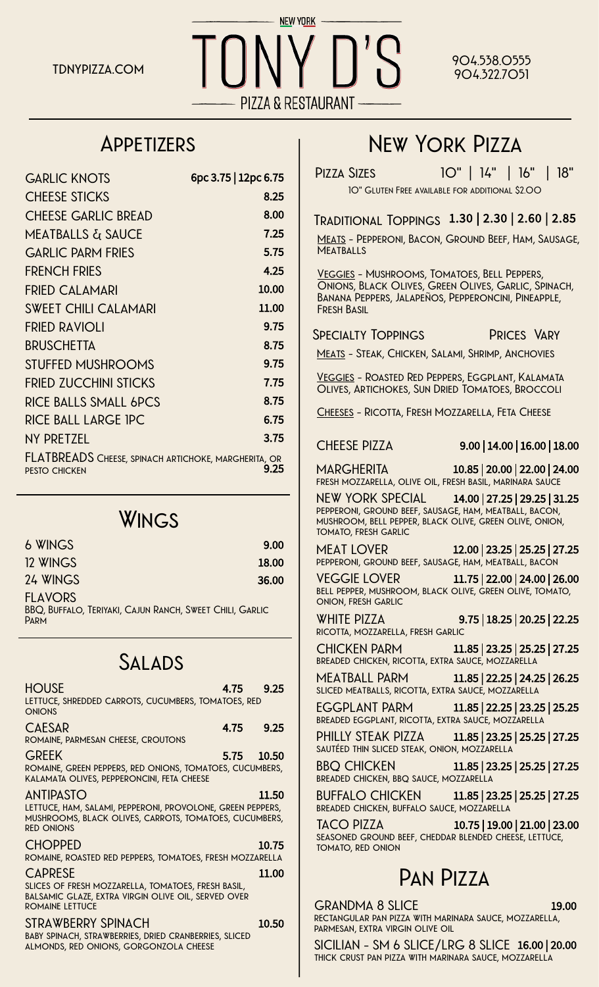

#### **904.538.0555 904.322.7051**

#### **Appetizers**

| <b>GARLIC KNOTS</b>                                                          | 6pc 3.75   12pc 6.75 |
|------------------------------------------------------------------------------|----------------------|
| <b>CHEESE STICKS</b>                                                         | 8.25                 |
| <b>CHEESE GARLIC BREAD</b>                                                   | 8.00                 |
| MEATBALLS & SAUCE                                                            | 7.25                 |
| <b>GARLIC PARM FRIES</b>                                                     | 5.75                 |
| <b>FRENCH FRIES</b>                                                          | 4.25                 |
| <b>FRIED CALAMARI</b>                                                        | 10.00                |
| <b>SWEET CHILI CALAMARI</b>                                                  | 11.00                |
| <b>FRIED RAVIOLI</b>                                                         | 9.75                 |
| <b>BRUSCHETTA</b>                                                            | 8.75                 |
| <b>STUFFED MUSHROOMS</b>                                                     | 9.75                 |
| <b>FRIED ZUCCHINI STICKS</b>                                                 | 7.75                 |
| <b>RICE BALLS SMALL 6PCS</b>                                                 | 8.75                 |
| RICE BALL LARGE IPC                                                          | 6.75                 |
| NY PRETZEL                                                                   | 3.75                 |
| FLATBREADS Cheese, spinach artichoke, margherita, or<br><b>PESTO CHICKEN</b> | 9.25                 |

#### **Wings**

| 6 WINGS                                                                                   | 9.00  |
|-------------------------------------------------------------------------------------------|-------|
| 12 WINGS                                                                                  | 18.00 |
| 24 WINGS                                                                                  | 36.00 |
| <b>FLAVORS</b><br>BBQ, BUFFALO, TERIYAKI, CAJUN RANCH, SWEET CHILI, GARLIC<br><b>PARM</b> |       |

#### **Salads**

| <b>HOUSE</b><br>LETTUCE, SHREDDED CARROTS, CUCUMBERS, TOMATOES, RED<br><b>ONIONS</b>                                                                          |      | 4.75 9.25  |
|---------------------------------------------------------------------------------------------------------------------------------------------------------------|------|------------|
| <b>CAESAR</b><br>ROMAINE, PARMESAN CHEESE, CROUTONS                                                                                                           | 4.75 | 9.25       |
| <b>GREEK</b><br>ROMAINE, GREEN PEPPERS, RED ONIONS, TOMATOES, CUCUMBERS,<br>KALAMATA OLIVES, PEPPERONCINI, FETA CHEESE                                        |      | 5.75 10.50 |
| <b>ANTIPASTO</b><br>LETTUCE, HAM, SALAMI, PEPPERONI, PROVOLONE, GREEN PEPPERS,<br>MUSHROOMS, BLACK OLIVES, CARROTS, TOMATOES, CUCUMBERS,<br><b>RED ONIONS</b> |      | 11.50      |
| <b>CHOPPED</b><br>ROMAINE, ROASTED RED PEPPERS, TOMATOES, FRESH MOZZARELLA                                                                                    |      | 10.75      |
| <b>CAPRESE</b><br>SLICES OF FRESH MOZZARELLA, TOMATOES, FRESH BASIL,<br>BALSAMIC GLAZE, EXTRA VIRGIN OLIVE OIL, SERVED OVER<br>ROMAINE I FTTUCF               |      | 11.00      |
| STRAWBERRY SPINACH<br>BABY SPINACH, STRAWBERRIES, DRIED CRANBERRIES, SLICED<br>ALMONDS, RED ONIONS, GORGONZOLA CHEESE                                         |      | 10.50      |

## **New York Pizza**

**Pizza Sizes 10" | 14" | 16" | 18" 10" Gluten Free available for additional \$2.00**

**Traditional Toppings** 1.30 | 2.30 | 2.60 | 2.85

**Meats - Pepperoni, Bacon, Ground Beef, Ham, Sausage, Meatballs**

**Veggies - Mushrooms, Tomatoes, Bell Peppers, Onions, Black Olives, Green Olives, Garlic, Spinach, Banana Peppers, Jalapeños, Pepperoncini, Pineapple, Fresh Basil**

**Specialty Toppings Prices Vary**

**Meats - Steak, Chicken, Salami, Shrimp, Anchovies**

**Veggies - Roasted Red Peppers, Eggplant, Kalamata Olives, Artichokes, Sun Dried Tomatoes, Broccoli**

**Cheeses - Ricotta, Fresh Mozzarella, Feta Cheese**

**CHEESE PIZZA** 9.00 | 14.00 | 16.00 | 18.00

**MARGHERITA** 10.85 | 20.00 | 22.00 | 24.00 **fresh mozzarella, olive oil, fresh basil, marinara sauce**

**NEW YORK SPECIAL** 14.00 | 27.25 | 29.25 | 31.25 **pepperoni, ground beef, sausage, ham, meatball, bacon, mushroom, bell pepper, black olive, green olive, onion, tomato, fresh garlic**

**MEAT LOVER** 12.00 | 23.25 | 25.25 | 27.25 **pepperoni, ground beef, sausage, ham, meatball, bacon**

**VEGGIE LOVER** 11.75 | 22.00 | 24.00 | 26.00 **bell pepper, mushroom, black olive, green olive, tomato, onion, fresh garlic**

**WHITE PIZZA** 9.75 | 18.25 | 20.25 | 22.25 **ricotta, mozzarella, fresh garlic**

**CHICKEN PARM** 11.85 | 23.25 | 25.25 | 27.25 **breaded chicken, ricotta, extra sauce, mozzarella**

**MEATBALL PARM** 11.85 | 22.25 | 24.25 | 26.25 **sliced meatballs, ricotta, extra sauce, mozzarella**

**EGGPLANT PARM** 11.85 | 22.25 | 23.25 | 25.25 **breaded eggplant, ricotta, extra sauce, mozzarella**

**PHILLY STEAK PIZZA** 11.85 | 23.25 | 25.25 | 27.25 **sautéed thin sliced steak, onion, mozzarella**

**BBQ CHICKEN** 11.85 | 23.25 | 25.25 | 27.25 **breaded chicken, bbq sauce, mozzarella**

**BUFFALO CHICKEN** 11.85 | 23.25 | 25.25 | 27.25 **breaded chicken, buffalo sauce, mozzarella**

**TACO PIZZA** 10.75 | 19.00 | 21.00 | 23.00 **seasoned ground beef, cheddar blended cheese, lettuce, tomato, red onion**

#### **Pan Pizza**

**GRANDMA 8 SLICE** 19.00 **rectangular pan pizza with marinara sauce, mozzarella, parmesan, extra virgin olive oil**

**SICILIAN - SM 6 SLICE/LRG 8 SLICE** 16.00 | 20.00 **thick crust pan pizza with marinara sauce, mozzarella**